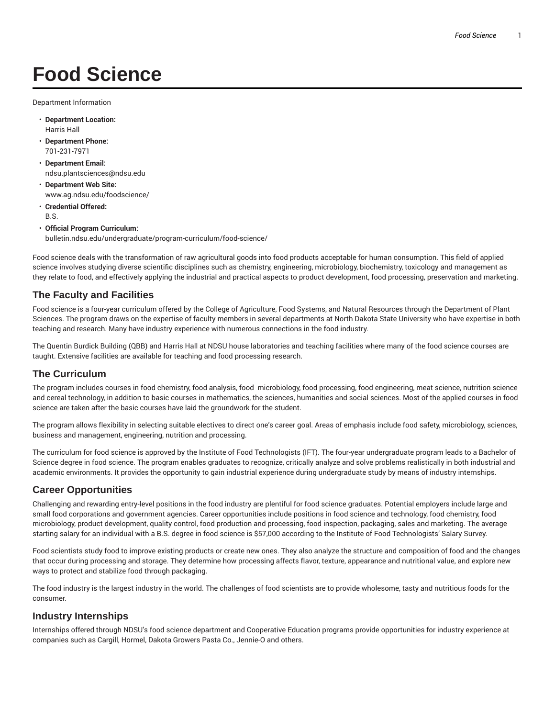# **Food Science**

Department Information

- **Department Location:** Harris Hall
- **Department Phone:** 701-231-7971
- **Department Email:** ndsu.plantsciences@ndsu.edu
- **Department Web Site:** www.ag.ndsu.edu/foodscience/
- **Credential Offered:** B.S.
- **Official Program Curriculum:** bulletin.ndsu.edu/undergraduate/program-curriculum/food-science/

Food science deals with the transformation of raw agricultural goods into food products acceptable for human consumption. This field of applied science involves studying diverse scientific disciplines such as chemistry, engineering, microbiology, biochemistry, toxicology and management as they relate to food, and effectively applying the industrial and practical aspects to product development, food processing, preservation and marketing.

#### **The Faculty and Facilities**

Food science is a four-year curriculum offered by the College of Agriculture, Food Systems, and Natural Resources through the Department of Plant Sciences. The program draws on the expertise of faculty members in several departments at North Dakota State University who have expertise in both teaching and research. Many have industry experience with numerous connections in the food industry.

The Quentin Burdick Building (QBB) and Harris Hall at NDSU house laboratories and teaching facilities where many of the food science courses are taught. Extensive facilities are available for teaching and food processing research.

#### **The Curriculum**

The program includes courses in food chemistry, food analysis, food microbiology, food processing, food engineering, meat science, nutrition science and cereal technology, in addition to basic courses in mathematics, the sciences, humanities and social sciences. Most of the applied courses in food science are taken after the basic courses have laid the groundwork for the student.

The program allows flexibility in selecting suitable electives to direct one's career goal. Areas of emphasis include food safety, microbiology, sciences, business and management, engineering, nutrition and processing.

The curriculum for food science is approved by the Institute of Food Technologists (IFT). The four-year undergraduate program leads to a Bachelor of Science degree in food science. The program enables graduates to recognize, critically analyze and solve problems realistically in both industrial and academic environments. It provides the opportunity to gain industrial experience during undergraduate study by means of industry internships.

#### **Career Opportunities**

Challenging and rewarding entry-level positions in the food industry are plentiful for food science graduates. Potential employers include large and small food corporations and government agencies. Career opportunities include positions in food science and technology, food chemistry, food microbiology, product development, quality control, food production and processing, food inspection, packaging, sales and marketing. The average starting salary for an individual with a B.S. degree in food science is \$57,000 according to the Institute of Food Technologists' Salary Survey.

Food scientists study food to improve existing products or create new ones. They also analyze the structure and composition of food and the changes that occur during processing and storage. They determine how processing affects flavor, texture, appearance and nutritional value, and explore new ways to protect and stabilize food through packaging.

The food industry is the largest industry in the world. The challenges of food scientists are to provide wholesome, tasty and nutritious foods for the consumer.

#### **Industry Internships**

Internships offered through NDSU's food science department and Cooperative Education programs provide opportunities for industry experience at companies such as Cargill, Hormel, Dakota Growers Pasta Co., Jennie-O and others.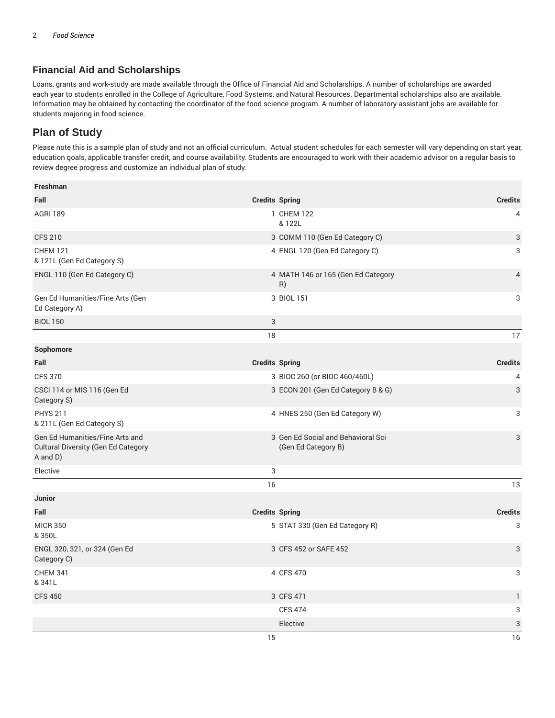### **Financial Aid and Scholarships**

Loans, grants and work-study are made available through the Office of Financial Aid and Scholarships. A number of scholarships are awarded each year to students enrolled in the College of Agriculture, Food Systems, and Natural Resources. Departmental scholarships also are available. Information may be obtained by contacting the coordinator of the food science program. A number of laboratory assistant jobs are available for students majoring in food science.

## **Plan of Study**

Please note this is a sample plan of study and not an official curriculum. Actual student schedules for each semester will vary depending on start year, education goals, applicable transfer credit, and course availability. Students are encouraged to work with their academic advisor on a regular basis to review degree progress and customize an individual plan of study.

| Freshman                                                                                  |                       |                                                           |                |
|-------------------------------------------------------------------------------------------|-----------------------|-----------------------------------------------------------|----------------|
| Fall                                                                                      | <b>Credits Spring</b> |                                                           | <b>Credits</b> |
| <b>AGRI 189</b>                                                                           |                       | 1 CHEM 122<br>& 122L                                      | 4              |
| <b>CFS 210</b>                                                                            |                       | 3 COMM 110 (Gen Ed Category C)                            | 3              |
| <b>CHEM 121</b><br>& 121L (Gen Ed Category S)                                             |                       | 4 ENGL 120 (Gen Ed Category C)                            | 3              |
| ENGL 110 (Gen Ed Category C)                                                              |                       | 4 MATH 146 or 165 (Gen Ed Category<br>R)                  | $\overline{4}$ |
| Gen Ed Humanities/Fine Arts (Gen<br>Ed Category A)                                        |                       | 3 BIOL 151                                                | 3              |
| <b>BIOL 150</b>                                                                           | $\sqrt{3}$            |                                                           |                |
|                                                                                           | 18                    |                                                           | 17             |
| Sophomore                                                                                 |                       |                                                           |                |
| Fall                                                                                      | <b>Credits Spring</b> |                                                           | <b>Credits</b> |
| <b>CFS 370</b>                                                                            |                       | 3 BIOC 260 (or BIOC 460/460L)                             | 4              |
| CSCI 114 or MIS 116 (Gen Ed<br>Category S)                                                |                       | 3 ECON 201 (Gen Ed Category B & G)                        | 3              |
| <b>PHYS 211</b><br>& 211L (Gen Ed Category S)                                             |                       | 4 HNES 250 (Gen Ed Category W)                            | 3              |
| Gen Ed Humanities/Fine Arts and<br><b>Cultural Diversity (Gen Ed Category</b><br>A and D) |                       | 3 Gen Ed Social and Behavioral Sci<br>(Gen Ed Category B) | 3              |
| Elective                                                                                  | 3                     |                                                           |                |
|                                                                                           | 16                    |                                                           | 13             |
| <b>Junior</b>                                                                             |                       |                                                           |                |
| Fall                                                                                      | <b>Credits Spring</b> |                                                           | <b>Credits</b> |
| <b>MICR 350</b><br>&350L                                                                  |                       | 5 STAT 330 (Gen Ed Category R)                            | 3              |
| ENGL 320, 321, or 324 (Gen Ed<br>Category C)                                              |                       | 3 CFS 452 or SAFE 452                                     | 3              |
| <b>CHEM 341</b><br>& 341L                                                                 |                       | 4 CFS 470                                                 | 3              |
| <b>CFS 450</b>                                                                            |                       | 3 CFS 471                                                 | 1              |
|                                                                                           |                       | <b>CFS 474</b>                                            | 3              |
|                                                                                           |                       | Elective                                                  | 3              |
|                                                                                           | 15                    |                                                           | 16             |